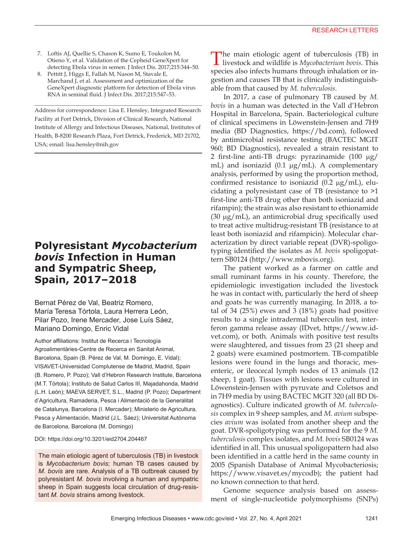- 7. Loftis AJ, Quellie S, Chason K, Sumo E, Toukolon M, Otieno Y, et al. Validation of the Cepheid GeneXpert for detecting Ebola virus in semen. J Infect Dis. 2017;215:344–50.
- 8. Pettitt J, Higgs E, Fallah M, Nason M, Stavale E, Marchand J, et al. Assessment and optimization of the GeneXpert diagnostic platform for detection of Ebola virus RNA in seminal fluid. J Infect Dis. 2017;215:547–53.

Address for correspondence: Lisa E. Hensley, Integrated Research Facility at Fort Detrick, Division of Clinical Research, National Institute of Allergy and Infectious Diseases, National, Institutes of Health, B-8200 Research Plaza, Fort Detrick, Frederick, MD 21702, USA; email: lisa.hensley@nih.gov

## **Polyresistant** *Mycobacterium bovis* **Infection in Human and Sympatric Sheep, Spain, 2017–2018**

Bernat Pérez de Val, Beatriz Romero, María Teresa Tórtola, Laura Herrera León, Pilar Pozo, Irene Mercader, Jose Luís Sáez, Mariano Domingo, Enric Vidal

Author affiliations: Institut de Recerca i Tecnología Agroalimentàries-Centre de Recerca en Sanitat Animal, Barcelona, Spain (B. Pérez de Val, M. Domingo, E. Vidal); VISAVET-Universidad Complutense de Madrid, Madrid, Spain (B. Romero, P. Pozo); Vall d'Hebron Research Institute, Barcelona (M.T. Tórtola); Instituto de Salud Carlos III, Majadahonda, Madrid (L.H. León); MAEVA SERVET, S.L., Madrid (P. Pozo); Department d'Agricultura, Ramaderia, Pesca i Alimentació de la Generalitat de Catalunya, Barcelona (I. Mercader); Ministerio de Agricultura, Pesca y Alimentación, Madrid (J.L. Sáez); Universitat Autònoma de Barcelona, Barcelona (M. Domingo)

### DOI: https://doi.org/10.3201/eid2704.204467

The main etiologic agent of tuberculosis (TB) in livestock is *Mycobacterium bovis*; human TB cases caused by *M. bovis* are rare. Analysis of a TB outbreak caused by polyresistant *M. bovis* involving a human and sympatric sheep in Spain suggests local circulation of drug-resistant *M. bovis* strains among livestock.

The main etiologic agent of tuberculosis (TB) in livestock and wildlife is *Mycobacterium bovis*. This species also infects humans through inhalation or ingestion and causes TB that is clinically indistinguishable from that caused by *M. tuberculosis*.

In 2017, a case of pulmonary TB caused by *M. bovis* in a human was detected in the Vall d'Hebron Hospital in Barcelona, Spain. Bacteriological culture of clinical specimens in Löwenstein-Jensen and 7H9 media (BD Diagnostics, https://bd.com), followed by antimicrobial resistance testing (BACTEC MGIT 960; BD Diagnostics), revealed a strain resistant to 2 first-line anti-TB drugs: pyrazinamide (100 µg/ mL) and isoniazid (0.1 μg/mL). A complementary analysis, performed by using the proportion method, confirmed resistance to isoniazid  $(0.2 \mu g/mL)$ , elucidating a polyresistant case of TB (resistance to >1 first-line anti-TB drug other than both isoniazid and rifampin); the strain was also resistant to ethionamide (30 µg/mL), an antimicrobial drug specifically used to treat active multidrug-resistant TB (resistance to at least both isoniazid and rifampicin). Molecular characterization by direct variable repeat (DVR)-spoligotyping identified the isolates as *M. bovis* spoligopattern SB0124 (http://www.mbovis.org).

The patient worked as a farmer on cattle and small ruminant farms in his county. Therefore, the epidemiologic investigation included the livestock he was in contact with, particularly the herd of sheep and goats he was currently managing. In 2018, a total of 34 (25%) ewes and 3 (18%) goats had positive results to a single intradermal tuberculin test, interferon gamma release assay (IDvet, https://www.idvet.com), or both. Animals with positive test results were slaughtered, and tissues from 23 (21 sheep and 2 goats) were examined postmortem. TB-compatible lesions were found in the lungs and thoracic, mesenteric, or ileocecal lymph nodes of 13 animals (12 sheep, 1 goat). Tissues with lesions were cultured in Löwenstein-Jensen with pyruvate and Coletsos and in 7H9 media by using BACTEC MGIT 320 (all BD Diagnostics). Culture indicated growth of *M. tuberculosis* complex in 9 sheep samples, and *M. avium* subspecies *avium* was isolated from another sheep and the goat. DVR-spoligotyping was performed for the 9 *M. tuberculosis* complex isolates, and *M. bovis* SB0124 was identified in all. This unusual spoligopattern had also been identified in a cattle herd in the same county in 2005 (Spanish Database of Animal Mycobacteriosis; https://www.visavet.es/mycodb); the patient had no known connection to that herd.

Genome sequence analysis based on assessment of single-nucleotide polymorphisms (SNPs)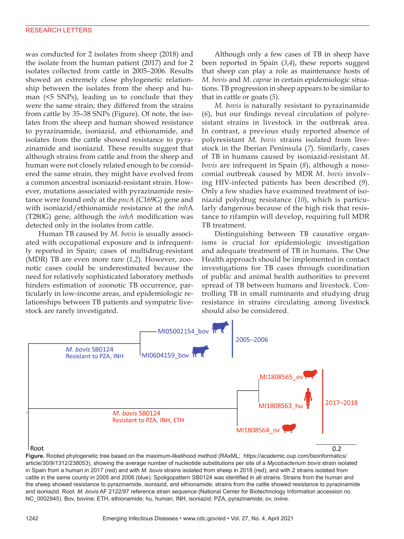was conducted for 2 isolates from sheep (2018) and the isolate from the human patient (2017) and for 2 isolates collected from cattle in 2005–2006. Results showed an extremely close phylogenetic relationship between the isolates from the sheep and human (<5 SNPs), leading us to conclude that they were the same strain; they differed from the strains from cattle by 35–38 SNPs (Figure). Of note, the isolates from the sheep and human showed resistance to pyrazinamide, isoniazid, and ethionamide, and isolates from the cattle showed resistance to pyrazinamide and isoniazid. These results suggest that although strains from cattle and from the sheep and human were not closely related enough to be considered the same strain, they might have evolved from a common ancestral isoniazid-resistant strain. However, mutations associated with pyrazinamide resistance were found only at the *pncA* (C169G) gene and with isoniazid/ethionamide resistance at the *inh*A (T280G) gene, although the *inhA* modification was detected only in the isolates from cattle.

Human TB caused by *M. bovis* is usually associated with occupational exposure and is infrequently reported in Spain; cases of multidrug-resistant (MDR) TB are even more rare (*1*,*2*). However, zoonotic cases could be underestimated because the need for relatively sophisticated laboratory methods hinders estimation of zoonotic TB occurrence, particularly in low-income areas, and epidemiologic relationships between TB patients and sympatric livestock are rarely investigated.

Although only a few cases of TB in sheep have been reported in Spain (*3*,*4*), these reports suggest that sheep can play a role as maintenance hosts of *M. bovis* and *M. caprae* in certain epidemiologic situations. TB progression in sheep appears to be similar to that in cattle or goats (*5*).

*M. bovis* is naturally resistant to pyrazinamide (*6*), but our findings reveal circulation of polyresistant strains in livestock in the outbreak area. In contrast, a previous study reported absence of polyresistant *M. bovis* strains isolated from livestock in the Iberian Peninsula (*7*). Similarly, cases of TB in humans caused by isoniazid-resistant *M. bovis* are infrequent in Spain (*8*), although a nosocomial outbreak caused by MDR *M. bovis* involving HIV-infected patients has been described (*9*). Only a few studies have examined treatment of isoniazid polydrug resistance (*10*), which is particularly dangerous because of the high risk that resistance to rifampin will develop, requiring full MDR TB treatment.

Distinguishing between TB causative organisms is crucial for epidemiologic investigation and adequate treatment of TB in humans. The One Health approach should be implemented in contact investigations for TB cases through coordination of public and animal health authorities to prevent spread of TB between humans and livestock. Controlling TB in small ruminants and studying drug resistance in strains circulating among livestock should also be considered.



article/30/9/1312/238053), showing the average number of nucleotide substitutions per site of a *Mycobacterium bovis* strain isolated in Spain from a human in 2017 (red) and with *M. bovis* strains isolated from sheep in 2018 (red), and with 2 strains isolated from cattle in the same county in 2005 and 2006 (blue). Spoligopattern SB0124 was identified in all strains. Strains from the human and the sheep showed resistance to pyrazinamide, isoniazid, and ethionamide; strains from the cattle showed resistance to pyrazinamide and isoniazid. Root: *M. bovis* AF 2122/97 reference strain sequence (National Center for Biotechnology Information accession no. NC\_0002945). Bov, bovine; ETH, ethionamide; hu, human; INH, isoniazid; PZA, pyrazinamide; ov, ovine.